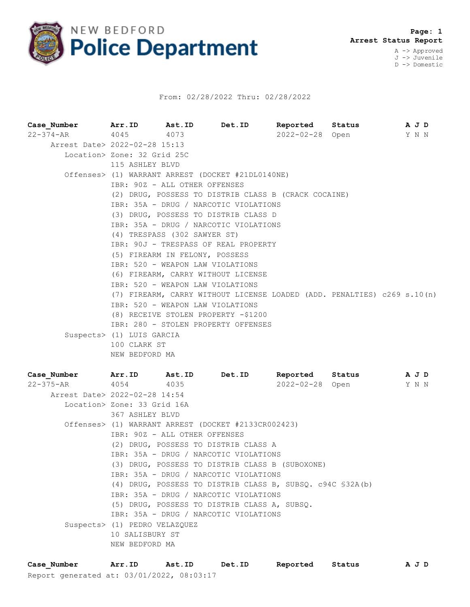

## From: 02/28/2022 Thru: 02/28/2022

**Case\_Number Arr.ID Ast.ID Det.ID Reported Status A J D** 22-374-AR 4045 4073 2022-02-28 Open Y N N Arrest Date> 2022-02-28 15:13 Location> Zone: 32 Grid 25C 115 ASHLEY BLVD Offenses> (1) WARRANT ARREST (DOCKET #21DL0140NE) IBR: 90Z - ALL OTHER OFFENSES (2) DRUG, POSSESS TO DISTRIB CLASS B (CRACK COCAINE) IBR: 35A - DRUG / NARCOTIC VIOLATIONS (3) DRUG, POSSESS TO DISTRIB CLASS D IBR: 35A - DRUG / NARCOTIC VIOLATIONS (4) TRESPASS (302 SAWYER ST) IBR: 90J - TRESPASS OF REAL PROPERTY (5) FIREARM IN FELONY, POSSESS IBR: 520 - WEAPON LAW VIOLATIONS (6) FIREARM, CARRY WITHOUT LICENSE IBR: 520 - WEAPON LAW VIOLATIONS (7) FIREARM, CARRY WITHOUT LICENSE LOADED (ADD. PENALTIES) c269 s.10(n) IBR: 520 - WEAPON LAW VIOLATIONS (8) RECEIVE STOLEN PROPERTY -\$1200 IBR: 280 - STOLEN PROPERTY OFFENSES Suspects> (1) LUIS GARCIA 100 CLARK ST NEW BEDFORD MA

| Case Number Marr.ID Ast.ID Det.ID |                                                     |  |                                                            | Reported Status |  |  | A J D |  |
|-----------------------------------|-----------------------------------------------------|--|------------------------------------------------------------|-----------------|--|--|-------|--|
| 22-375-AR 4054 4035               |                                                     |  |                                                            | 2022-02-28 Open |  |  | Y N N |  |
| Arrest Date> 2022-02-28 14:54     |                                                     |  |                                                            |                 |  |  |       |  |
|                                   | Location> Zone: 33 Grid 16A                         |  |                                                            |                 |  |  |       |  |
|                                   | 367 ASHLEY BLVD                                     |  |                                                            |                 |  |  |       |  |
|                                   | Offenses> (1) WARRANT ARREST (DOCKET #2133CR002423) |  |                                                            |                 |  |  |       |  |
|                                   | IBR: 90Z - ALL OTHER OFFENSES                       |  |                                                            |                 |  |  |       |  |
|                                   |                                                     |  | (2) DRUG, POSSESS TO DISTRIB CLASS A                       |                 |  |  |       |  |
|                                   |                                                     |  | IBR: 35A - DRUG / NARCOTIC VIOLATIONS                      |                 |  |  |       |  |
|                                   |                                                     |  | (3) DRUG, POSSESS TO DISTRIB CLASS B (SUBOXONE)            |                 |  |  |       |  |
|                                   |                                                     |  | IBR: 35A - DRUG / NARCOTIC VIOLATIONS                      |                 |  |  |       |  |
|                                   |                                                     |  | (4) DRUG, POSSESS TO DISTRIB CLASS B, SUBSQ. c94C \$32A(b) |                 |  |  |       |  |
|                                   |                                                     |  | IBR: 35A - DRUG / NARCOTIC VIOLATIONS                      |                 |  |  |       |  |
|                                   |                                                     |  | (5) DRUG, POSSESS TO DISTRIB CLASS A, SUBSQ.               |                 |  |  |       |  |
|                                   |                                                     |  | IBR: 35A - DRUG / NARCOTIC VIOLATIONS                      |                 |  |  |       |  |
|                                   | Suspects> (1) PEDRO VELAZQUEZ                       |  |                                                            |                 |  |  |       |  |
|                                   | 10 SALISBURY ST                                     |  |                                                            |                 |  |  |       |  |
|                                   | NEW BEDFORD MA                                      |  |                                                            |                 |  |  |       |  |

Report generated at: 03/01/2022, 08:03:17 **Case\_Number Arr.ID Ast.ID Det.ID Reported Status A J D**